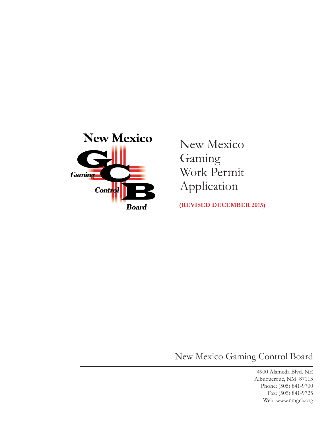

New Mexico Gaming Work Permit Application

**(Revised DECEMBER 2015)**

New Mexico Gaming Control Board

4900 Alameda Blvd. NE Albuquerque, NM 87113 Phone: (505) 841-9700 Fax: (505) 841-9725 Web: www.nmgcb.org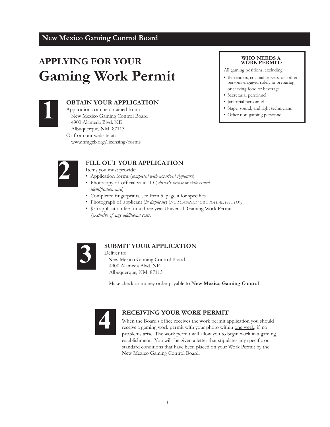# **APPLYING FOR YOUR Gaming Work Permit**



#### **1 OBTAIN YOUR APPLICATION**

Applications can be obtained from: New Mexico Gaming Control Board 4900 Alameda Blvd. NE Albuquerque, NM 87113 Or from our website at: www.nmgcb.org/licensing/forms

#### **WHO NEEDS A WORK PERMIT?**

All gaming positions, excluding:

- **•** Bartenders, cocktail servers, or other persons engaged solely in preparing or serving food or beverage
- Secretarial personnel
- **•** Janitorial personnel
- **•** Stage, sound, and light technicians
- **•** Other non-gaming personnel



## **FILL OUT YOUR APPLICATION**

Items you must provide:

- Application forms (*completed with notarized signature*)
- • Photocopy of official valid ID ( *driver's license or state-issued identification card*)
- • Completed fingerprints, see Item 5, page ii for specifics
- Photograph of applicant (*in duplicate*) (*NO SCANNED OR DIGITAL PHOTOS)*
- \$75 application fee for a three-year Universal Gaming Work Permit (*exclusive of any additional costs)*



## **SUBMIT YOUR APPLICATION**

 Deliver to: New Mexico Gaming Control Board 4900 Alameda Blvd. NE Albuquerque, NM 87113

Make check or money order payable to **New Mexico Gaming Control** 



#### **RECEIVING YOUR WORK PERMIT**

When the Board's office receives the work permit application you should receive a gaming work permit with your photo within one week, if no problems arise. The work permit will allow you to begin work in a gaming establishment. You will be given a letter that stipulates any specific or standard conditions that have been placed on your Work Permit by the New Mexico Gaming Control Board.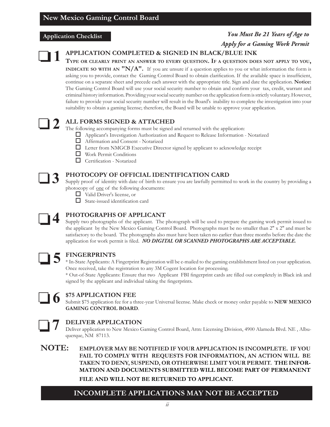#### **Application Checklist**

## *You Must Be 21 Years of Age to Apply for a Gaming Work Permit*



## **APPLICATION COMPLETED & SIGNED IN BLACK/BLUE INK**

**Type or clearly print an answer to every question. If a question does not apply to you, INDICATE SO WITH AN "N/A".** If you are unsure if a question applies to you or what information the form is asking you to provide, contact the Gaming Control Board to obtain clarification. If the available space is insufficient, continue on a separate sheet and precede each answer with the appropriate title. Sign and date the application. **Notice:** The Gaming Control Board will use your social security number to obtain and confirm your tax, credit, warrant and criminal history information. Providing your social security number on the application form is strictly voluntary. However, failure to provide your social security number will result in the Board's inability to complete the investigation into your suitability to obtain a gaming license; therefore, the Board will be unable to approve your application.



## **ALL FORMS SIGNED & ATTACHED**

The following accompanying forms must be signed and returned with the application:

- Applicant's Investigation Authorization and Request to Release Information Notarized
- Affirmation and Consent Notarized
- $\Box$  Letter from NMGCB Executive Director signed by applicant to acknowledge receipt
- Work Permit Conditions
- Certification Notarized



## **PHOTOCOPY OF OFFICIAL IDENTIFICATION CARD**

Supply proof of identity with date of birth to ensure you are lawfully permitted to work in the country by providing a photocopy of one of the following documents:

- □ Valid Driver's license, or
- $\Box$  State-issued identification card



## **PHOTOGRAPHS OF APPLICANT**

Supply two photographs of the applicant. The photograph will be used to prepare the gaming work permit issued to the applicant by the New Mexico Gaming Control Board. Photographs must be no smaller than 2" x 2" and must be satisfactory to the board. The photographs also must have been taken no earlier than three months before the date the application for work permit is filed. *NO DIGITAL OR SCANNED PHOTOGRAPHS ARE ACCEPTABLE.*



## **FINGERPRINTS**

\* In-State Applicants: A Fingerprint Registration will be e-mailed to the gaming establishment listed on your application. Once received, take the registration to any 3M Cogent location for processing.

\* Out-of-State Applicants: Ensure that two Applicant FBI fingerprint cards are filled out completely in Black ink and signed by the applicant and individual taking the fingerprints.



**7**

## **\$75 APPLICATION FEE**

Submit \$75 application fee for a three-year Universal license. Make check or money order payable to **NEW MEXICO GAMING CONTROL BOARD**.

## **DELIVER APPLICATION**

Deliver application to New Mexico Gaming Control Board, Attn: Licensing Division, 4900 Alameda Blvd. NE , Albuquerque, NM 87113.

**NOTE: EMPLOYER MAY BE NOTIFIED IF YOUR APPLICATION IS INCOMPLETE. IF YOU FAIL TO COMPLY WITH REQUESTS FOR INFORMATION, AN ACTION WILL BE TAKEN TO DENY, SUSPEND, OR OTHERWISE LIMIT YOUR PERMIT. THE INFOR-MATION AND DOCUMENTS SUBMITTED WILL BECOME PART OF PERMANENT FILE AND WILL NOT BE RETURNED TO APPLICANT.**

## **INCOMPLETE APPLICATIONS MAY NOT BE ACCEPTED**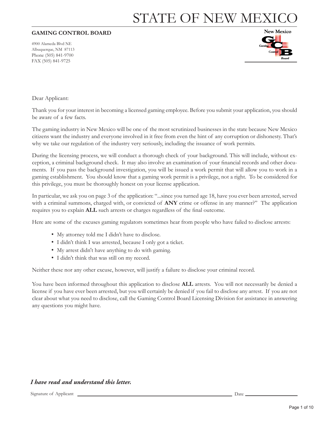# STATE OF NEW MEXI

#### **GAMING CONTROL BOARD**

4900 Alameda Blvd NE Albuquerque, NM 87113 Phone (505) 841-9700 FAX (505) 841-9725



Dear Applicant:

Thank you for your interest in becoming a licensed gaming employee. Before you submit your application, you should be aware of a few facts.

The gaming industry in New Mexico will be one of the most scrutinized businesses in the state because New Mexico citizens want the industry and everyone involved in it free from even the hint of any corruption or dishonesty. That's why we take our regulation of the industry very seriously, including the issuance of work permits.

During the licensing process, we will conduct a thorough check of your background. This will include, without exception, a criminal background check. It may also involve an examination of your financial records and other documents. If you pass the background investigation, you will be issued a work permit that will allow you to work in a gaming establishment. You should know that a gaming work permit is a privilege, not a right. To be considered for this privilege, you must be thoroughly honest on your license application.

In particular, we ask you on page 3 of the application: "...since you turned age 18, have you ever been arrested, served with a criminal summons, charged with, or convicted of **ANY** crime or offense in any manner?" The application requires you to explain **ALL** such arrests or charges regardless of the final outcome.

Here are some of the excuses gaming regulators sometimes hear from people who have failed to disclose arrests:

- My attorney told me I didn't have to disclose.
- I didn't think I was arrested, because I only got a ticket.
- My arrest didn't have anything to do with gaming.
- I didn't think that was still on my record.

Neither these nor any other excuse, however, will justify a failure to disclose your criminal record.

You have been informed throughout this application to disclose **ALL** arrests. You will not necessarily be denied a license if you have ever been arrested, but you will certainly be denied if you fail to disclose any arrest. If you are not clear about what you need to disclose, call the Gaming Control Board Licensing Division for assistance in answering any questions you might have.

#### *I have read and understand this letter.*

Signature of Applicant Date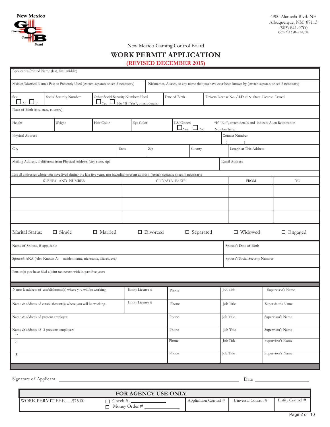

New Mexico Gaming Control Board

## **WORK PERMIT APPLICATION**

**(revised DECEMBER 2015)**

| Applicant's Printed Name (last, first, middle)                                   |                                                                                                                 |                                                                                                                                         |           |                                                                                                       |                                                                                                                                    |                 |        |                                                     |                  |                        |                   |                                 |                   |                   |
|----------------------------------------------------------------------------------|-----------------------------------------------------------------------------------------------------------------|-----------------------------------------------------------------------------------------------------------------------------------------|-----------|-------------------------------------------------------------------------------------------------------|------------------------------------------------------------------------------------------------------------------------------------|-----------------|--------|-----------------------------------------------------|------------------|------------------------|-------------------|---------------------------------|-------------------|-------------------|
| Maiden/Married Names Past or Presently Used (Attach separate sheet if necessary) |                                                                                                                 |                                                                                                                                         |           | Nicknames, Aliases, or any name that you have ever been known by (Attach separate sheet if necessary) |                                                                                                                                    |                 |        |                                                     |                  |                        |                   |                                 |                   |                   |
| Sex<br>$\square_{\scriptscriptstyle \rm M} \ \square_{\scriptscriptstyle \rm F}$ | Social Security Number<br>Other Social Security Numbers Used<br>$\Box$ Yes $\Box$ No *If "Yes", attach details. |                                                                                                                                         |           |                                                                                                       | Date of Birth                                                                                                                      |                 |        | Drivers License No. / I.D. # & State License Issued |                  |                        |                   |                                 |                   |                   |
| Place of Birth (city, state, country)                                            |                                                                                                                 |                                                                                                                                         |           |                                                                                                       |                                                                                                                                    |                 |        |                                                     |                  |                        |                   |                                 |                   |                   |
| Hair Color<br>Eye Color<br>Height<br>Weight                                      |                                                                                                                 |                                                                                                                                         |           |                                                                                                       | U.S. Citizen<br>*If "No", attach details and indicate Alien Registration<br>$\Box_{\text{Yes}}$ $\Box_{\text{No}}$<br>Number here: |                 |        |                                                     |                  |                        |                   |                                 |                   |                   |
| Physical Address                                                                 |                                                                                                                 |                                                                                                                                         |           |                                                                                                       |                                                                                                                                    |                 |        |                                                     | Contact Number   |                        |                   |                                 |                   |                   |
| City                                                                             |                                                                                                                 |                                                                                                                                         | State     | Zip                                                                                                   |                                                                                                                                    |                 | County |                                                     |                  | Length at This Address |                   |                                 |                   |                   |
|                                                                                  |                                                                                                                 | Mailing Address, if different from Physical Address (city, state, zip)                                                                  |           |                                                                                                       |                                                                                                                                    |                 |        |                                                     |                  |                        |                   | Email Address                   |                   |                   |
|                                                                                  |                                                                                                                 | List all addresses where you have lived during the last five years, not including present address. (Attach separate sheet if necessary) |           |                                                                                                       |                                                                                                                                    |                 |        |                                                     |                  |                        |                   |                                 |                   |                   |
|                                                                                  |                                                                                                                 | STREET AND NUMBER                                                                                                                       |           |                                                                                                       |                                                                                                                                    |                 |        | CITY/STATE/ZIP                                      |                  |                        |                   | <b>FROM</b>                     |                   | TO                |
|                                                                                  |                                                                                                                 |                                                                                                                                         |           |                                                                                                       |                                                                                                                                    |                 |        |                                                     |                  |                        |                   |                                 |                   |                   |
|                                                                                  |                                                                                                                 |                                                                                                                                         |           |                                                                                                       |                                                                                                                                    |                 |        |                                                     |                  |                        |                   |                                 |                   |                   |
|                                                                                  |                                                                                                                 |                                                                                                                                         |           |                                                                                                       |                                                                                                                                    |                 |        |                                                     |                  |                        |                   |                                 |                   |                   |
| Marital Status:                                                                  |                                                                                                                 | $\Box$ Single                                                                                                                           | □ Married |                                                                                                       |                                                                                                                                    | $\Box$ Divorced |        |                                                     | $\Box$ Separated |                        |                   | $\Box$ Widowed                  |                   | $\Box$ Engaged    |
| Name of Spouse, if applicable                                                    |                                                                                                                 |                                                                                                                                         |           |                                                                                                       |                                                                                                                                    |                 |        |                                                     |                  |                        |                   | Spouse's Date of Birth          |                   |                   |
|                                                                                  |                                                                                                                 | Spouse's AKA (Also Known As-maiden name, nickname, aliases, etc.)                                                                       |           |                                                                                                       |                                                                                                                                    |                 |        |                                                     |                  |                        |                   | Spouse's Social Security Number |                   |                   |
|                                                                                  |                                                                                                                 | Person(s) you have filed a joint tax return with in past five years                                                                     |           |                                                                                                       |                                                                                                                                    |                 |        |                                                     |                  |                        |                   |                                 |                   |                   |
|                                                                                  |                                                                                                                 | Name & address of establishment(s) where you will be working                                                                            |           |                                                                                                       | Entity License #                                                                                                                   |                 |        |                                                     |                  |                        |                   |                                 |                   | Supervisor's Name |
|                                                                                  |                                                                                                                 |                                                                                                                                         |           |                                                                                                       |                                                                                                                                    |                 |        | Phone                                               |                  |                        | Job Title         |                                 |                   |                   |
|                                                                                  |                                                                                                                 | Name & address of establishment(s) where you will be working                                                                            |           |                                                                                                       | Entity License #                                                                                                                   |                 |        | Phone                                               |                  |                        | Job Title         |                                 | Supervisor's Name |                   |
| Name & address of present employer                                               |                                                                                                                 |                                                                                                                                         |           |                                                                                                       |                                                                                                                                    |                 |        | Phone                                               |                  |                        | Job Title         |                                 |                   | Supervisor's Name |
| Name & address of 3 previous employers<br>-1.                                    |                                                                                                                 |                                                                                                                                         |           |                                                                                                       |                                                                                                                                    |                 |        | Phone<br>Job Title                                  |                  |                        | Supervisor's Name |                                 |                   |                   |
| 2.                                                                               |                                                                                                                 |                                                                                                                                         |           |                                                                                                       |                                                                                                                                    |                 |        | Phone                                               |                  |                        |                   | Job Title                       |                   | Supervisor's Name |
| 3.                                                                               |                                                                                                                 |                                                                                                                                         |           |                                                                                                       |                                                                                                                                    |                 |        | Phone                                               |                  |                        | Job Title         |                                 |                   | Supervisor's Name |
|                                                                                  |                                                                                                                 |                                                                                                                                         |           |                                                                                                       |                                                                                                                                    |                 |        |                                                     |                  |                        |                   |                                 |                   |                   |
| Signature of Applicant                                                           |                                                                                                                 |                                                                                                                                         |           |                                                                                                       |                                                                                                                                    |                 |        |                                                     |                  |                        |                   | Date.                           |                   |                   |

| <b>FOR AGENCY USE ONLY</b> |                                                |                       |                     |                  |  |  |  |  |
|----------------------------|------------------------------------------------|-----------------------|---------------------|------------------|--|--|--|--|
| WORK PERMIT FEE\$75.00     | $\blacksquare$ Check #<br>$\Box$ Money Order # | Application Control # | Universal Control # | Entity Control # |  |  |  |  |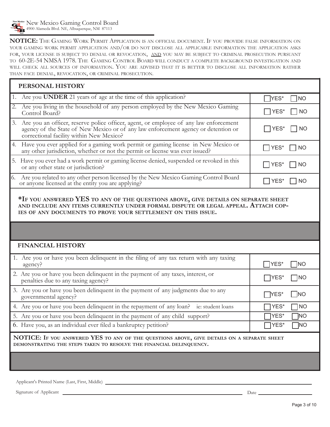New Mexico Gaming Control Board 4900 Alameda Blvd. NE, Albuquerque, NM 87113

**NOTICE:** The Gaming Work Permit Application is an official document. If you provide false information on your gaming work permit application and/or do not disclose all applicable information the application asks for, your license is subject to denial or revocation, and you may be subject to criminal prosecution pursuant to 60-2E-54 NMSA 1978. The Gaming Control Board will conduct a complete background investigation and will check all sources of information. You are advised that it is better to disclose all information rather than face denial, revocation, or criminal prosecution.

| PERSONAL HISTORY                                                                                                                                                                                                                        |                                     |  |  |  |  |  |  |  |
|-----------------------------------------------------------------------------------------------------------------------------------------------------------------------------------------------------------------------------------------|-------------------------------------|--|--|--|--|--|--|--|
| Are you <b>UNDER</b> 21 years of age at the time of this application?<br>1.                                                                                                                                                             | YES*<br><b>INO</b>                  |  |  |  |  |  |  |  |
| Are you living in the household of any person employed by the New Mexico Gaming<br>2.<br>Control Board?                                                                                                                                 | YES*<br><b>NO</b>                   |  |  |  |  |  |  |  |
| Are you an officer, reserve police officer, agent, or employee of any law enforcement<br>3.<br>agency of the State of New Mexico or of any law enforcement agency or detention or<br>correctional facility within New Mexico?           | YES*<br>NO                          |  |  |  |  |  |  |  |
| Have you ever applied for a gaming work permit or gaming license in New Mexico or<br>4.<br>any other jurisdiction, whether or not the permit or license was ever issued?                                                                | YES*<br> NO                         |  |  |  |  |  |  |  |
| 5. Have you ever had a work permit or gaming license denied, suspended or revoked in this<br>or any other state or jurisdiction?                                                                                                        | YES*<br><b>NO</b>                   |  |  |  |  |  |  |  |
| Are you related to any other person licensed by the New Mexico Gaming Control Board<br>or anyone licensed at the entity you are applying?<br>6.                                                                                         | YES*<br>$\overline{\phantom{a}}$ NO |  |  |  |  |  |  |  |
| *IF YOU ANSWERED YES TO ANY OF THE QUESTIONS ABOVE, GIVE DETAILS ON SEPARATE SHEET<br>AND INCLUDE ANY ITEMS CURRENTLY UNDER FORMAL DISPUTE OR LEGAL APPEAL. ATTACH COP-<br>IES OF ANY DOCUMENTS TO PROVE YOUR SETTLEMENT ON THIS ISSUE. |                                     |  |  |  |  |  |  |  |
|                                                                                                                                                                                                                                         |                                     |  |  |  |  |  |  |  |
| <b>FINANCIAL HISTORY</b>                                                                                                                                                                                                                |                                     |  |  |  |  |  |  |  |
| 1. Are you or have you been delinquent in the filing of any tax return with any taxing<br>agency?                                                                                                                                       | YES*<br><b>INO</b>                  |  |  |  |  |  |  |  |
| 2. Are you or have you been delinquent in the payment of any taxes, interest, or<br>penalties due to any taxing agency?                                                                                                                 | YES*<br>$\Box$ NO                   |  |  |  |  |  |  |  |
| 3. Are you or have you been delinquent in the payment of any judgments due to any<br>governmental agency?                                                                                                                               | YES*<br>N                           |  |  |  |  |  |  |  |
| 4. Are you or have you been delinquent in the repayment of any loan? ie: student loans                                                                                                                                                  | YES*<br>$\neg$ NO                   |  |  |  |  |  |  |  |
| 5. Are you or have you been delinquent in the payment of any child support?                                                                                                                                                             | YES*<br>]NO                         |  |  |  |  |  |  |  |
| 6. Have you, as an individual ever filed a bankruptcy petition?                                                                                                                                                                         | YES*<br>$\neg$ NO                   |  |  |  |  |  |  |  |
| NOTICE: IF YOU ANSWERED YES TO ANY OF THE QUESTIONS ABOVE, GIVE DETAILS ON A SEPARATE SHEET<br>DEMONSTRATING THE STEPS TAKEN TO RESOLVE THE FINANCIAL DELINQUENCY.                                                                      |                                     |  |  |  |  |  |  |  |
|                                                                                                                                                                                                                                         |                                     |  |  |  |  |  |  |  |

Applicant's Printed Name (Last, First, Middle)

Signature of Applicant Date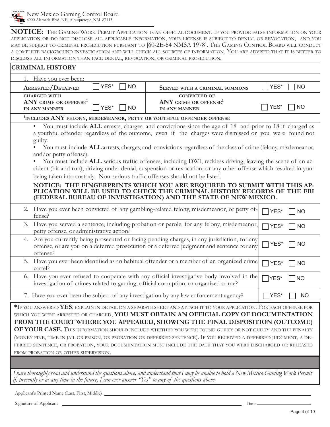**NOTICE:** The Gaming Work Permit Application is an official document. If you provide false information on your application or do not disclose all applicable information, your license is subject to denial or revocation, and you may be subject to criminal prosecution pursuant to [60-2E-54 NMSA 1978]. The Gaming Control Board will conduct a complete background investigation and will check all sources of information. You are advised that it is better to disclose all information than face denial, revocation, or criminal prosecution.

| <b>CRIMINAL HISTORY</b>                                                                                                                                                                                                                                                                                                                                                                                                                                                                                                                                                                                                                                                                   |                                                                                                                                                                                                                              |                             |  |  |  |  |  |  |
|-------------------------------------------------------------------------------------------------------------------------------------------------------------------------------------------------------------------------------------------------------------------------------------------------------------------------------------------------------------------------------------------------------------------------------------------------------------------------------------------------------------------------------------------------------------------------------------------------------------------------------------------------------------------------------------------|------------------------------------------------------------------------------------------------------------------------------------------------------------------------------------------------------------------------------|-----------------------------|--|--|--|--|--|--|
| 1. Have you ever been:                                                                                                                                                                                                                                                                                                                                                                                                                                                                                                                                                                                                                                                                    |                                                                                                                                                                                                                              |                             |  |  |  |  |  |  |
| YES*<br><b>NO</b><br><b>ARRESTED/DETAINED</b>                                                                                                                                                                                                                                                                                                                                                                                                                                                                                                                                                                                                                                             | SERVED WITH A CRIMINAL SUMMONS                                                                                                                                                                                               | YES*<br>NO                  |  |  |  |  |  |  |
| <b>CHARGED WITH</b><br>ANY CRIME OR OFFENSE <sup>1</sup><br>YES*<br>  INO<br>IN ANY MANNER                                                                                                                                                                                                                                                                                                                                                                                                                                                                                                                                                                                                | <b>CONVICTED OF</b><br>ANY CRIME OR OFFENSE <sup>1</sup><br>IN ANY MANNER                                                                                                                                                    | YES*<br><b>NO</b>           |  |  |  |  |  |  |
| <sup>1</sup> INCLUDES ANY FELONY, MISDEMEANOR, PETTY OR YOUTHFUL OFFENDER OFFENSE                                                                                                                                                                                                                                                                                                                                                                                                                                                                                                                                                                                                         |                                                                                                                                                                                                                              |                             |  |  |  |  |  |  |
| $\bullet$<br>a youthful offender regardless of the outcome, even if the charges were dismissed or you were found not<br>guilty.                                                                                                                                                                                                                                                                                                                                                                                                                                                                                                                                                           | You must include ALL arrests, charges, and convictions since the age of 18 and prior to 18 if charged as                                                                                                                     |                             |  |  |  |  |  |  |
| and/or petty offense).<br>cident (hit and run); driving under denial, suspension or revocation; or any other offense which resulted in your<br>being taken into custody. Non-serious traffic offenses should not be listed.                                                                                                                                                                                                                                                                                                                                                                                                                                                               | You must include ALL arrests, charges, and convictions regardless of the class of crime (felony, misdemeanor,<br>You must include ALL serious traffic offenses, including DWI; reckless driving; leaving the scene of an ac- |                             |  |  |  |  |  |  |
| NOTICE: THE FINGERPRINTS WHICH YOU ARE REQUIRED TO SUBMIT WITH THIS AP-<br>PLICATION WILL BE USED TO CHECK THE CRIMINAL HISTORY RECORDS OF THE FBI<br>(FEDERAL BUREAU OF INVESTIGATION) AND THE STATE OF NEW MEXICO.                                                                                                                                                                                                                                                                                                                                                                                                                                                                      |                                                                                                                                                                                                                              |                             |  |  |  |  |  |  |
| 2. Have you ever been convicted of any gambling-related felony, misdemeanor, or petty of-<br>fense?                                                                                                                                                                                                                                                                                                                                                                                                                                                                                                                                                                                       |                                                                                                                                                                                                                              | YES*<br><b>NO</b>           |  |  |  |  |  |  |
| Have you served a sentence, including probation or parole, for any felony, misdemeanor,<br>3.<br>petty offense, or administrative action?                                                                                                                                                                                                                                                                                                                                                                                                                                                                                                                                                 |                                                                                                                                                                                                                              | $\Box$<br>YES*<br><b>NO</b> |  |  |  |  |  |  |
| Are you currently being prosecuted or facing pending charges, in any jurisdiction, for any<br>4.<br>YES*<br><b>NO</b><br>offense, or are you on a deferred prosecution or a deferred judgment and sentence for any<br>offense?                                                                                                                                                                                                                                                                                                                                                                                                                                                            |                                                                                                                                                                                                                              |                             |  |  |  |  |  |  |
| 5. Have you ever been identified as an habitual offender or a member of an organized crime<br>cartel?                                                                                                                                                                                                                                                                                                                                                                                                                                                                                                                                                                                     |                                                                                                                                                                                                                              | YES*<br><b>NO</b>           |  |  |  |  |  |  |
| 6. Have you ever refused to cooperate with any official investigative body involved in the<br>YES*<br> NO<br>investigation of crimes related to gaming, official corruption, or organized crime?                                                                                                                                                                                                                                                                                                                                                                                                                                                                                          |                                                                                                                                                                                                                              |                             |  |  |  |  |  |  |
| 7. Have you ever been the subject of any investigation by any law enforcement agency?                                                                                                                                                                                                                                                                                                                                                                                                                                                                                                                                                                                                     |                                                                                                                                                                                                                              | YES*<br><b>NO</b>           |  |  |  |  |  |  |
| $*$ If you answered YES, explain in detail on a separate sheet and attach it to your application. For each offense for<br>WHICH YOU WERE ARRESTED OR CHARGED, YOU MUST OBTAIN AN OFFICIAL COPY OF DOCUMENTATION<br>FROM THE COURT WHERE YOU APPEARED, SHOWING THE FINAL DISPOSITION (OUTCOME)<br>OF YOUR CASE. THIS INFORMATION SHOULD INCLUDE WHETHER YOU WERE FOUND GUILTY OR NOT GUILTY AND THE PENALTY<br>(MONEY FINE, TIME IN JAIL OR PRISON, OR PROBATION OR DEFERRED SENTENCE). IF YOU RECEIVED A DEFERRED JUDGMENT, A DE-<br>FERRED SENTENCE, OR PROBATION, YOUR DOCUMENTATION MUST INCLUDE THE DATE THAT YOU WERE DISCHARGED OR RELEASED<br>FROM PROBATION OR OTHER SUPERVISION. |                                                                                                                                                                                                                              |                             |  |  |  |  |  |  |
| I have thoroughly read and understand the questions above, and understand that I may be unable to hold a New Mexico Gaming Work Permit                                                                                                                                                                                                                                                                                                                                                                                                                                                                                                                                                    |                                                                                                                                                                                                                              |                             |  |  |  |  |  |  |

*if, presently or at any time in the future, I can ever answer "Yes" to any of the questions above.*

Applicant's Printed Name (Last, First, Middle)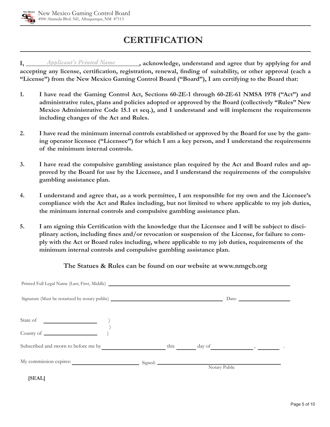# **CERTIFICATION**

**I,** *Applicant's Printed Name* , acknowledge, understand and agree that by applying for and **accepting any license, certification, registration, renewal, finding of suitability, or other approval (each a "License") from the New Mexico Gaming Control Board ("Board"), I am certifying to the Board that:**

- **1. I have read the Gaming Control Act, Sections 60-2E-1 through 60-2E-61 NMSA 1978 ("Act") and administrative rules, plans and policies adopted or approved by the Board (collectively "Rules" New Mexico Administrative Code 15.1 et seq.), and I understand and will implement the requirements including changes of the Act and Rules.**
- **2. I have read the minimum internal controls established or approved by the Board for use by the gaming operator licensee ("Licensee") for which I am a key person, and I understand the requirements of the minimum internal controls.**
- **3. I have read the compulsive gambling assistance plan required by the Act and Board rules and approved by the Board for use by the Licensee, and I understand the requirements of the compulsive gambling assistance plan.**
- **4. I understand and agree that, as a work permittee, I am responsible for my own and the Licensee's compliance with the Act and Rules including, but not limited to where applicable to my job duties, the minimum internal controls and compulsive gambling assistance plan.**
- **5. I am signing this Certification with the knowledge that the Licensee and I will be subject to disciplinary action, including fines and/or revocation or suspension of the License, for failure to comply with the Act or Board rules including, where applicable to my job duties, requirements of the minimum internal controls and compulsive gambling assistance plan.**

## **The Statues & Rules can be found on our website at www.nmgcb.org**

| Signature (Must be notarized by notary public) __________________________________ |      |  |  | Date: $\frac{1}{\sqrt{1-\frac{1}{2}} \cdot \frac{1}{2}}$ |  |  |
|-----------------------------------------------------------------------------------|------|--|--|----------------------------------------------------------|--|--|
|                                                                                   |      |  |  |                                                          |  |  |
| <u> 1980 - Andrea Station Barbara (</u><br>State of                               |      |  |  |                                                          |  |  |
|                                                                                   |      |  |  |                                                          |  |  |
| Subscribed and sworn to before me by                                              | this |  |  |                                                          |  |  |
|                                                                                   |      |  |  |                                                          |  |  |
|                                                                                   |      |  |  | Notary Public                                            |  |  |

 **[SEAL]**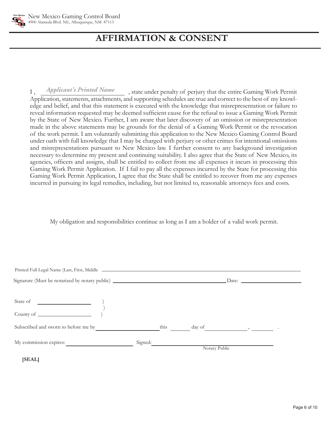

# **AFFIRMATION & CONSENThereby authorize the lawful use, dis-**

**closure, or publica**

I, *Applicant's Printed Name*, state under penalty of perjury that the entire Gaming Work Permit Application, statements, attachments, and supporting schedules are true and correct to the best of my knowledge and belief, and that this statement is executed with the knowledge that misrepresentation or failure to reveal information requested may be deemed sufficient cause for the refusal to issue a Gaming Work Permit by the State of New Mexico. Further, I am aware that later discovery of an omission or misrepresentation made in the above statements may be grounds for the denial of a Gaming Work Permit or the revocation of the work permit. I am voluntarily submitting this application to the New Mexico Gaming Control Board under oath with full knowledge that I may be charged with perjury or other crimes for intentional omissions and misrepresentations pursuant to New Mexico law. I further consent to any background investigation necessary to determine my present and continuing suitability. I also agree that the State of New Mexico, its agencies, officers and assigns, shall be entitled to collect from me all expenses it incurs in processing this Gaming Work Permit Application. If I fail to pay all the expenses incurred by the State for processing this Gaming Work Permit Application, I agree that the State shall be entitled to recover from me any expenses incurred in pursuing its legal remedies, including, but not limited to, reasonable attorneys fees and costs.

My obligation and responsibilities continue as long as I am a holder of a valid work permit.

| Signature (Must be notarized by notary public) _________________________________ |         |      |               | Date: $\qquad \qquad$                         |  |
|----------------------------------------------------------------------------------|---------|------|---------------|-----------------------------------------------|--|
|                                                                                  |         |      |               |                                               |  |
| State of<br><u> 1980 - Johann Barbara, martin a</u>                              |         |      |               |                                               |  |
|                                                                                  |         |      |               |                                               |  |
| Subscribed and sworn to before me by                                             |         | this |               | day of $\qquad \qquad \_ \qquad \_ \qquad \_$ |  |
| My commission expires:                                                           | Signed: |      |               |                                               |  |
| [SEAL]                                                                           |         |      | Notary Public |                                               |  |
|                                                                                  |         |      |               |                                               |  |

Page 6 of 10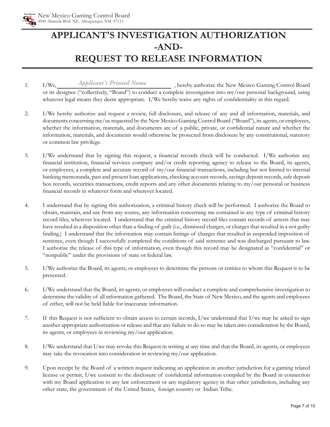

# **APPLICANT'S INVESTIGATION AUTHORIZATION -AND-REQUEST TO RELEASE INFORMATION**

- 1. I/We, *Applicant's Printed Name* , hereby authorize the New Mexico Gaming Control Board or its designee ("collectively, "Board") to conduct a complete investigation into my/our personal background, using whatever legal means they deem appropriate. I/We hereby waive any rights of confidentiality in this regard.
- 2. I/We hereby authorize and request a review, full disclosure, and release of any and all information, materials, and documents concerning me/us requested by the New Mexico Gaming Control Board ("Board"), its agents, or employees, whether the information, materials, and documents are of a public, private, or confidential nature and whether the information, materials, and documents would otherwise be protected from disclosure by any constitutional, statutory or common law privilege.
- 3. I/We understand that by signing this request, a financial records check will be conducted. I/We authorize any financial institution, financial services company and/or credit reporting agency to release to the Board, its agents, or employees, a complete and accurate record of my/our financial transactions, including but not limited to internal banking memoranda, past and present loan applications, checking account records, savings deposit records, safe deposit box records, securities transactions, credit reports and any other documents relating to my/our personal or business financial records in whatever form and wherever located.
- 4. I understand that by signing this authorization, a criminal history check will be performed. I authorize the Board to obtain, maintain, and use from any source, any information concerning me contained in any type of criminal history record files, wherever located. I understand that the criminal history record files contain records of arrests that may have resulted in a disposition other than a finding of guilt (i.e., dismissed charges, or charges that resulted in a not guilty finding.) I understand that the information may contain listings of charges that resulted in suspended imposition of sentence, even though I successfully completed the conditions of said sentence and was discharged pursuant to law. I authorize the release of this type of information, even though this record may be designated as "confidential" or "nonpublic" under the provisions of state or federal law.
- 5. I/We authorize the Board, its agents, or employees to determine the persons or entities to whom this Request is to be presented.
- 6. I/We understand that the Board, its agents, or employees will conduct a complete and comprehensive investigation to determine the validity of all information gathered. The Board, the State of New Mexico, and the agents and employees of either, will not be held liable for inaccurate information.
- 7. If this Request is not sufficient to obtain access to certain records,  $I/we$  understand that  $I/we$  may be asked to sign another appropriate authorization or release and that any failure to do so may be taken into consideration by the Board, its agents, or employees in reviewing my/our application.
- 8. I/We understand that I/we may revoke this Request in writing at any time and that the Board, its agents, or employees may take the revocation into consideration in reviewing my/our application.
- 9. Upon receipt by the Board of a written request indicating an application in another jurisdiction for a gaming related license or permit, I/we consent to the disclosure of confidential information compiled by the Board in connection with my Board application to any law enforcement or any regulatory agency in that other jurisdiction, including any other state, the government of the United States, foreign country or Indian Tribe.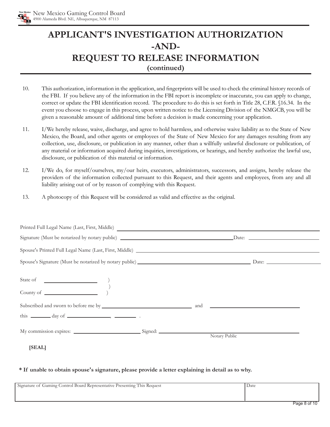

# **APPLICANT'S INVESTIGATION AUTHORIZATION -AND-REQUEST TO RELEASE INFORMATION (continued)**

- 10. This authorization, information in the application, and fingerprints will be used to check the criminal history records of the FBI. If you believe any of the information in the FBI report is incomplete or inaccurate, you can apply to change, correct or update the FBI identification record. The procedure to do this is set forth in Title 28, C.F.R. §16.34. In the event you choose to engage in this process, upon written notice to the Licensing Division of the NMGCB, you will be given a reasonable amount of additional time before a decision is made concerning your application.
- 11. I/We hereby release, waive, discharge, and agree to hold harmless, and otherwise waive liability as to the State of New Mexico, the Board, and other agents or employees of the State of New Mexico for any damages resulting from any collection, use, disclosure, or publication in any manner, other than a willfully unlawful disclosure or publication, of any material or information acquired during inquiries, investigations, or hearings, and hereby authorize the lawful use, disclosure, or publication of this material or information.
- 12. I/We do, for myself/ourselves, my/our heirs, executors, administrators, successors, and assigns, hereby release the providers of the information collected pursuant to this Request, and their agents and employees, from any and all liability arising out of or by reason of complying with this Request.
- 13. A photocopy of this Request will be considered as valid and effective as the original.

| this $\frac{1}{\sqrt{1-\frac{1}{\sqrt{1-\frac{1}{\sqrt{1-\frac{1}{\sqrt{1-\frac{1}{\sqrt{1-\frac{1}{\sqrt{1-\frac{1}{\sqrt{1-\frac{1}{\sqrt{1-\frac{1}{\sqrt{1-\frac{1}{\sqrt{1-\frac{1}{\sqrt{1-\frac{1}{\sqrt{1-\frac{1}{\sqrt{1-\frac{1}{\sqrt{1-\frac{1}{\sqrt{1-\frac{1}{\sqrt{1-\frac{1}{\sqrt{1-\frac{1}{\sqrt{1-\frac{1}{\sqrt{1-\frac{1}{\sqrt{1-\frac{1}{\sqrt{1-\frac{1}{\sqrt{1-\frac{1}{\sqrt{1-\frac{1}{\sqrt{$ |               |  |  |  |  |
|-------------------------------------------------------------------------------------------------------------------------------------------------------------------------------------------------------------------------------------------------------------------------------------------------------------------------------------------------------------------------------------------------------------------------------|---------------|--|--|--|--|
|                                                                                                                                                                                                                                                                                                                                                                                                                               | Notary Public |  |  |  |  |
| [SEAL]                                                                                                                                                                                                                                                                                                                                                                                                                        |               |  |  |  |  |

#### **\* If unable to obtain spouse's signature, please provide a letter explaining in detail as to why.**

| Signature of Gaming Control Board Representative Presenting This Request | Date |
|--------------------------------------------------------------------------|------|
|                                                                          |      |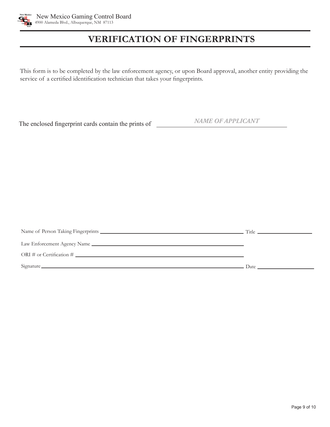

# **VERIFICATION OF FINGERPRINTS**

This form is to be completed by the law enforcement agency, or upon Board approval, another entity providing the service of a certified identification technician that takes your fingerprints.

The enclosed fingerprint cards contain the prints of

*NAME OF APPLICANT*

| ORI # or Certification # $\qquad \qquad$                                                                                                                                                                                       |  |
|--------------------------------------------------------------------------------------------------------------------------------------------------------------------------------------------------------------------------------|--|
| Signature Date Date and the Contract of the Contract of the Contract of the Contract of the Contract of the Contract of the Contract of the Contract of the Contract of the Contract of the Contract of the Contract of the Co |  |